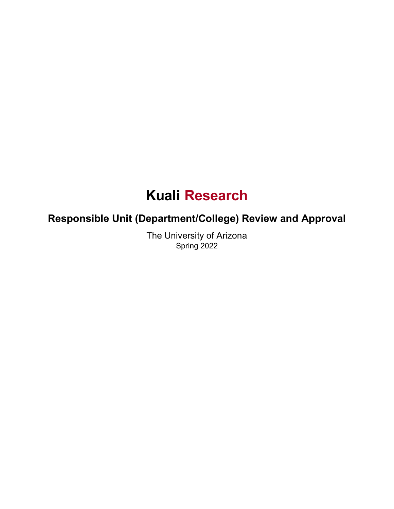# **Kuali Research**

## **Responsible Unit (Department/College) Review and Approval**

The University of Arizona Spring 2022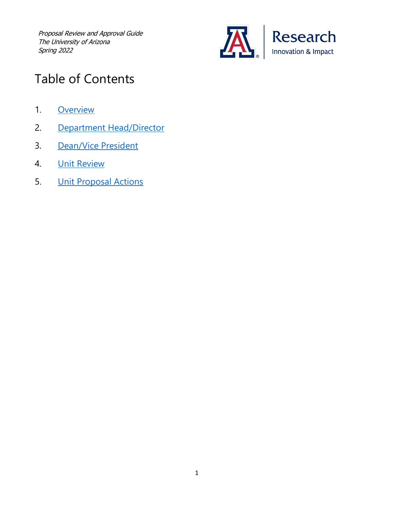

## Table of Contents

- 1. [Overview](#page-2-0)
- 2. [Department Head/Director](#page-2-1)
- 3. [Dean/Vice President](#page-2-2)
- 4. Unit [Review](#page-3-0)
- 5. Unit [Proposal Actions](#page-5-0)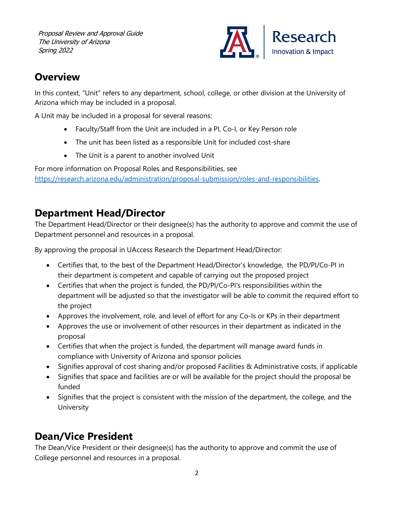

### <span id="page-2-0"></span>**Overview**

In this context, "Unit" refers to any department, school, college, or other division at the University of Arizona which may be included in a proposal.

A Unit may be included in a proposal for several reasons:

- Faculty/Staff from the Unit are included in a PI, Co-I, or Key Person role
- The unit has been listed as a responsible Unit for included cost-share
- The Unit is a parent to another involved Unit

For more information on Proposal Roles and Responsibilities, see [https://research.arizona.edu/administration/proposal-submission/roles-and-responsibilities.](https://research.arizona.edu/administration/proposal-submission/roles-and-responsibilities) 

#### <span id="page-2-1"></span>**Department Head/Director**

The Department Head/Director or their designee(s) has the authority to approve and commit the use of Department personnel and resources in a proposal.

By approving the proposal in UAccess Research the Department Head/Director:

- Certifies that, to the best of the Department Head/Director's knowledge, the PD/PI/Co-PI in their department is competent and capable of carrying out the proposed project
- Certifies that when the project is funded, the PD/PI/Co-PI's responsibilities within the department will be adjusted so that the investigator will be able to commit the required effort to the project
- Approves the involvement, role, and level of effort for any Co-Is or KPs in their department
- Approves the use or involvement of other resources in their department as indicated in the proposal
- Certifies that when the project is funded, the department will manage award funds in compliance with University of Arizona and sponsor policies
- Signifies approval of cost sharing and/or proposed Facilities & Administrative costs, if applicable
- Signifies that space and facilities are or will be available for the project should the proposal be funded
- Signifies that the project is consistent with the mission of the department, the college, and the University

### <span id="page-2-2"></span>**Dean/Vice President**

The Dean/Vice President or their designee(s) has the authority to approve and commit the use of College personnel and resources in a proposal.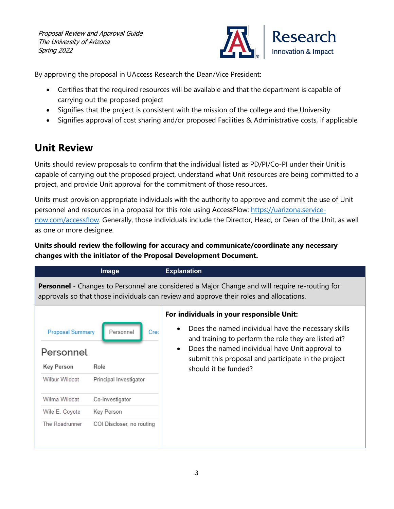

By approving the proposal in UAccess Research the Dean/Vice President:

- Certifies that the required resources will be available and that the department is capable of carrying out the proposed project
- Signifies that the project is consistent with the mission of the college and the University
- Signifies approval of cost sharing and/or proposed Facilities & Administrative costs, if applicable

### <span id="page-3-0"></span>**Unit Review**

Units should review proposals to confirm that the individual listed as PD/PI/Co-PI under their Unit is capable of carrying out the proposed project, understand what Unit resources are being committed to a project, and provide Unit approval for the commitment of those resources.

Units must provision appropriate individuals with the authority to approve and commit the use of Unit personnel and resources in a proposal for this role using AccessFlow: [https://uarizona.service](https://uarizona.service-now.com/accessflow)[now.com/accessflow.](https://uarizona.service-now.com/accessflow) Generally, those individuals include the Director, Head, or Dean of the Unit, as well as one or more designee.

#### **Units should review the following for accuracy and communicate/coordinate any necessary changes with the initiator of the Proposal Development Document.**

|                                                                                                                                                                                                  | Image                                                                                                             | <b>Explanation</b>                                                                                                                                                                                                                                                                                      |  |  |  |  |  |
|--------------------------------------------------------------------------------------------------------------------------------------------------------------------------------------------------|-------------------------------------------------------------------------------------------------------------------|---------------------------------------------------------------------------------------------------------------------------------------------------------------------------------------------------------------------------------------------------------------------------------------------------------|--|--|--|--|--|
| <b>Personnel</b> - Changes to Personnel are considered a Major Change and will require re-routing for<br>approvals so that those individuals can review and approve their roles and allocations. |                                                                                                                   |                                                                                                                                                                                                                                                                                                         |  |  |  |  |  |
| <b>Proposal Summary</b><br>Personnel<br><b>Key Person</b><br><b>Wilbur Wildcat</b><br>Wilma Wildcat<br>Wile E. Coyote<br>The Roadrunner                                                          | Personnel<br>Cred<br>Role<br>Principal Investigator<br>Co-Investigator<br>Key Person<br>COI Discloser, no routing | For individuals in your responsible Unit:<br>Does the named individual have the necessary skills<br>and training to perform the role they are listed at?<br>Does the named individual have Unit approval to<br>$\bullet$<br>submit this proposal and participate in the project<br>should it be funded? |  |  |  |  |  |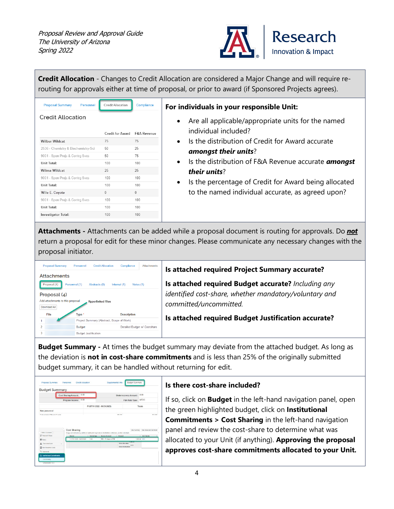

**Credit Allocation** - Changes to Credit Allocation are considered a Major Change and will require rerouting for approvals either at time of proposal, or prior to award (if Sponsored Projects agrees).

| <b>Proposal Summary</b>             | Personnel | Credit Allocation | Compliance             |
|-------------------------------------|-----------|-------------------|------------------------|
| <b>Credit Allocation</b>            |           |                   |                        |
|                                     |           | Credit for Award  | <b>F&amp;A Revenue</b> |
| <b>Wilbur Wildcat</b>               |           | 75                | 75                     |
| 2536 - Chemistry & Biochemistry-Sci |           | 50                | 25                     |
| 9001 - Spon Projs & Contrg Svcs     |           | 50                | 75                     |
| Unit Total:                         |           | 100               | 100                    |
| <b>Wilma Wildcat</b>                |           | 25                | 25                     |
| 9001 - Spon Projs & Contrg Svcs     |           | 100               | 100                    |
| Unit Total:                         |           | 100               | 100                    |
| Wile E. Coyote                      |           | $\Omega$          | $\Omega$               |
| 9001 - Spon Projs & Contrg Svcs     |           | 100               | 100                    |
| Unit Total:                         |           | 100               | 100                    |
| Investigator Total:                 |           | 100               | 100                    |

#### **For individuals in your responsible Unit:**

- Are all applicable/appropriate units for the named individual included?
- Is the distribution of Credit for Award accurate *amongst their units*?
- Is the distribution of F&A Revenue accurate *amongst their units*?
- Is the percentage of Credit for Award being allocated to the named individual accurate, as agreed upon?

**Attachments -** Attachments can be added while a proposal document is routing for approvals. Do *not* return a proposal for edit for these minor changes. Please communicate any necessary changes with the proposal initiator.



**Budget Summary -** At times the budget summary may deviate from the attached budget. As long as the deviation is **not in cost-share commitments** and is less than 25% of the originally submitted budget summary, it can be handled without returning for edit.

| <b>Budget Summary</b>                                        |                                     |      |                             |                                                                                                                |                                                      |                        |                                   |
|--------------------------------------------------------------|-------------------------------------|------|-----------------------------|----------------------------------------------------------------------------------------------------------------|------------------------------------------------------|------------------------|-----------------------------------|
|                                                              | <b>Cost Sharing Amount:</b>         | 0.00 |                             |                                                                                                                | <b>Underrecovery Amount:</b>                         |                        | 0.00                              |
|                                                              | Program Income:                     | 0.00 |                             |                                                                                                                | F&A Rate Type:                                       |                        | <b>MTDC</b>                       |
|                                                              |                                     |      | P1(07/01/2022 - 06/30/2023) |                                                                                                                |                                                      |                        | <b>Totals</b>                     |
|                                                              |                                     |      |                             |                                                                                                                |                                                      |                        |                                   |
| Non-personnel<br>Colombia d Piccot Conta                     |                                     |      |                             |                                                                                                                | 0.00                                                 |                        | 0000                              |
|                                                              | <b>Cost Sharing</b>                 |      |                             |                                                                                                                |                                                      | <b>View Summary</b>    | View Subayard Cost Share          |
| c Return to proposed<br>IF Periods & Totals                  |                                     |      |                             | Assign and distribute any additional unallocated expenses to stakeholders, institutions, or other individuals. |                                                      |                        |                                   |
|                                                              | Period<br>1:07:01/2022 - 05/30/2023 |      | 0.00                        | : Percentage : Source Account<br>TED - PI Vitage & ERE                                                         | $\approx$ Amount                                     |                        | $=$ Unit Details<br>1,500.00 0001 |
| 图 Refer<br>Parsonnal Costs<br><b>III</b> Non-Personnel Coots | $\lambda$                           |      |                             |                                                                                                                | <b>Total Allocated:</b><br><b>Total Unallocated:</b> | <b>BATALOG</b><br>0.02 |                                   |

#### **Is there cost-share included?**

If so, click on **Budget** in the left-hand navigation panel, open the green highlighted budget, click on **Institutional Commitments > Cost Sharing** in the left-hand navigation panel and review the cost-share to determine what was allocated to your Unit (if anything). **Approving the proposal approves cost-share commitments allocated to your Unit.**